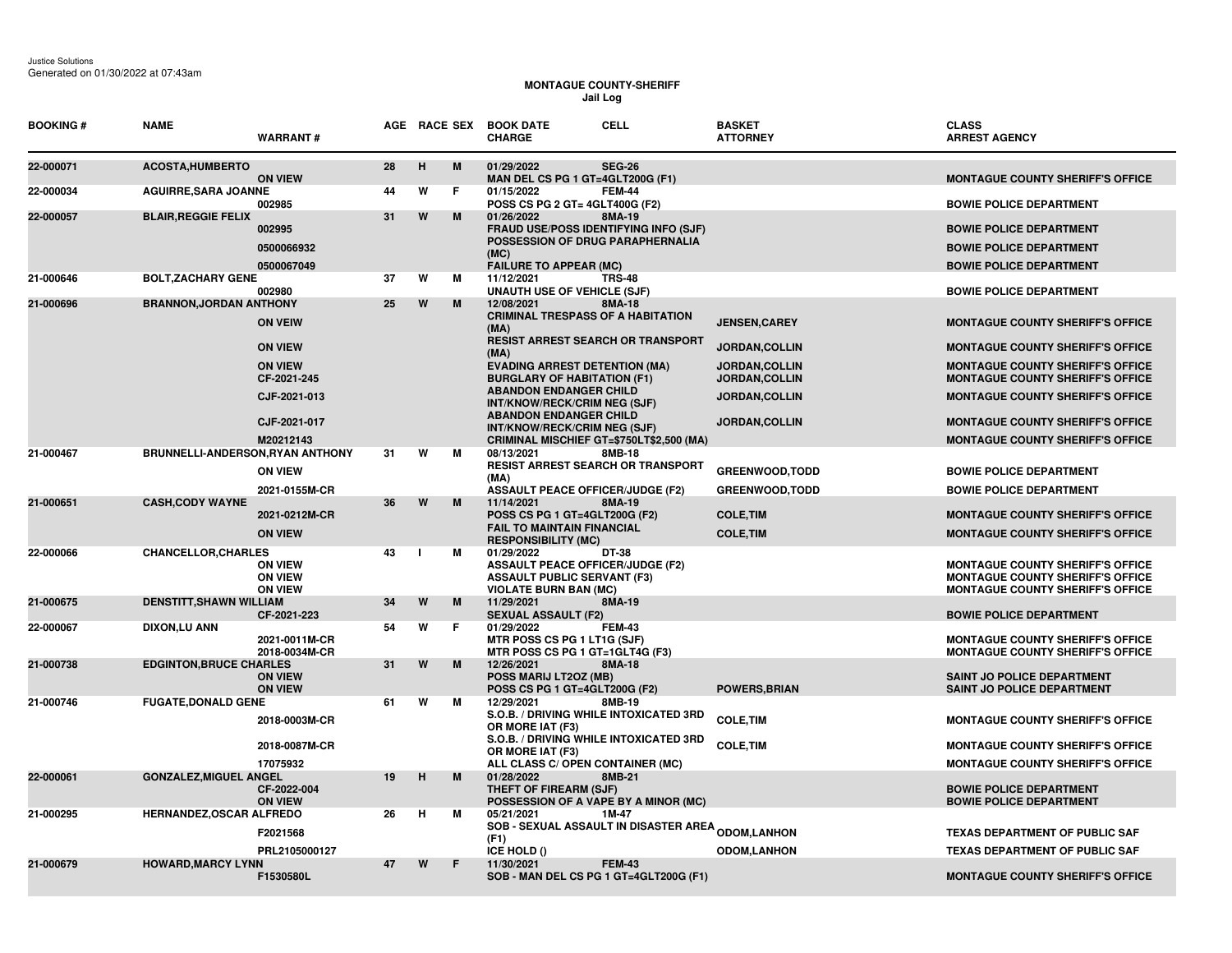## **MONTAGUE COUNTY-SHERIFF Jail Log**

| <b>BOOKING #</b> | <b>NAME</b>                      | <b>WARRANT#</b>                                    |    |   |   | <b>CELL</b><br>AGE RACE SEX BOOK DATE<br><b>CHARGE</b>                                                                                  |               | <b>BASKET</b><br><b>ATTORNEY</b>       | <b>CLASS</b><br><b>ARREST AGENCY</b>                                                                                          |
|------------------|----------------------------------|----------------------------------------------------|----|---|---|-----------------------------------------------------------------------------------------------------------------------------------------|---------------|----------------------------------------|-------------------------------------------------------------------------------------------------------------------------------|
| 22-000071        | <b>ACOSTA, HUMBERTO</b>          | <b>ON VIEW</b>                                     | 28 | H | M | 01/29/2022<br>MAN DEL CS PG 1 GT=4GLT200G (F1)                                                                                          | <b>SEG-26</b> |                                        | <b>MONTAGUE COUNTY SHERIFF'S OFFICE</b>                                                                                       |
| 22-000034        | <b>AGUIRRE, SARA JOANNE</b>      | 002985                                             | 44 | W | F | 01/15/2022<br>POSS CS PG 2 GT= 4GLT400G (F2)                                                                                            | <b>FEM-44</b> |                                        | <b>BOWIE POLICE DEPARTMENT</b>                                                                                                |
| 22-000057        | <b>BLAIR, REGGIE FELIX</b>       | 002995<br>0500066932<br>0500067049                 | 31 | W | M | 01/26/2022<br><b>FRAUD USE/POSS IDENTIFYING INFO (SJF)</b><br>POSSESSION OF DRUG PARAPHERNALIA<br>(MC)<br><b>FAILURE TO APPEAR (MC)</b> | 8MA-19        |                                        | <b>BOWIE POLICE DEPARTMENT</b><br><b>BOWIE POLICE DEPARTMENT</b><br><b>BOWIE POLICE DEPARTMENT</b>                            |
| 21-000646        | <b>BOLT, ZACHARY GENE</b>        | 002980                                             | 37 | W | м | 11/12/2021<br><b>UNAUTH USE OF VEHICLE (SJF)</b>                                                                                        | <b>TRS-48</b> |                                        | <b>BOWIE POLICE DEPARTMENT</b>                                                                                                |
| 21-000696        | <b>BRANNON, JORDAN ANTHONY</b>   | <b>ON VEIW</b>                                     | 25 | W | M | 12/08/2021<br><b>CRIMINAL TRESPASS OF A HABITATION</b><br>(MA)                                                                          | 8MA-18        | <b>JENSEN, CAREY</b>                   | <b>MONTAGUE COUNTY SHERIFF'S OFFICE</b>                                                                                       |
|                  |                                  | <b>ON VIEW</b>                                     |    |   |   | <b>RESIST ARREST SEARCH OR TRANSPORT</b><br>(MA)                                                                                        |               | JORDAN, COLLIN                         | <b>MONTAGUE COUNTY SHERIFF'S OFFICE</b>                                                                                       |
|                  |                                  | <b>ON VIEW</b><br>CF-2021-245                      |    |   |   | <b>EVADING ARREST DETENTION (MA)</b><br><b>BURGLARY OF HABITATION (F1)</b>                                                              |               | <b>JORDAN,COLLIN</b><br>JORDAN, COLLIN | <b>MONTAGUE COUNTY SHERIFF'S OFFICE</b><br><b>MONTAGUE COUNTY SHERIFF'S OFFICE</b>                                            |
|                  |                                  | CJF-2021-013                                       |    |   |   | <b>ABANDON ENDANGER CHILD</b><br>INT/KNOW/RECK/CRIM NEG (SJF)                                                                           |               | JORDAN, COLLIN                         | <b>MONTAGUE COUNTY SHERIFF'S OFFICE</b>                                                                                       |
|                  |                                  | CJF-2021-017<br>M20212143                          |    |   |   | <b>ABANDON ENDANGER CHILD</b><br>INT/KNOW/RECK/CRIM NEG (SJF)<br>CRIMINAL MISCHIEF GT=\$750LT\$2,500 (MA)                               |               | <b>JORDAN, COLLIN</b>                  | <b>MONTAGUE COUNTY SHERIFF'S OFFICE</b><br><b>MONTAGUE COUNTY SHERIFF'S OFFICE</b>                                            |
| 21-000467        | BRUNNELLI-ANDERSON, RYAN ANTHONY | <b>ON VIEW</b>                                     | 31 | W | м | 08/13/2021<br><b>RESIST ARREST SEARCH OR TRANSPORT</b><br>(MA)                                                                          | 8MB-18        | <b>GREENWOOD, TODD</b>                 | <b>BOWIE POLICE DEPARTMENT</b>                                                                                                |
| 21-000651        | <b>CASH, CODY WAYNE</b>          | 2021-0155M-CR                                      | 36 | W | M | <b>ASSAULT PEACE OFFICER/JUDGE (F2)</b><br>11/14/2021                                                                                   | 8MA-19        | <b>GREENWOOD,TODD</b>                  | <b>BOWIE POLICE DEPARTMENT</b>                                                                                                |
|                  |                                  | 2021-0212M-CR<br><b>ON VIEW</b>                    |    |   |   | POSS CS PG 1 GT=4GLT200G (F2)<br><b>FAIL TO MAINTAIN FINANCIAL</b><br><b>RESPONSIBILITY (MC)</b>                                        |               | <b>COLE, TIM</b><br><b>COLE, TIM</b>   | <b>MONTAGUE COUNTY SHERIFF'S OFFICE</b><br><b>MONTAGUE COUNTY SHERIFF'S OFFICE</b>                                            |
| 22-000066        | <b>CHANCELLOR, CHARLES</b>       | <b>ON VIEW</b><br><b>ON VIEW</b><br><b>ON VIEW</b> | 43 |   | M | 01/29/2022<br>DT-38<br><b>ASSAULT PEACE OFFICER/JUDGE (F2)</b><br><b>ASSAULT PUBLIC SERVANT (F3)</b><br><b>VIOLATE BURN BAN (MC)</b>    |               |                                        | <b>MONTAGUE COUNTY SHERIFF'S OFFICE</b><br><b>MONTAGUE COUNTY SHERIFF'S OFFICE</b><br><b>MONTAGUE COUNTY SHERIFF'S OFFICE</b> |
| 21-000675        | <b>DENSTITT, SHAWN WILLIAM</b>   | CF-2021-223                                        | 34 | W | M | 11/29/2021<br><b>SEXUAL ASSAULT (F2)</b>                                                                                                | 8MA-19        |                                        | <b>BOWIE POLICE DEPARTMENT</b>                                                                                                |
| 22-000067        | DIXON,LU ANN                     | 2021-0011M-CR<br>2018-0034M-CR                     | 54 | W | F | 01/29/2022<br>MTR POSS CS PG 1 LT1G (SJF)<br>MTR POSS CS PG 1 GT=1GLT4G (F3)                                                            | <b>FEM-43</b> |                                        | <b>MONTAGUE COUNTY SHERIFF'S OFFICE</b><br><b>MONTAGUE COUNTY SHERIFF'S OFFICE</b>                                            |
| 21-000738        | <b>EDGINTON, BRUCE CHARLES</b>   | <b>ON VIEW</b><br><b>ON VIEW</b>                   | 31 | W | M | 12/26/2021<br><b>POSS MARIJ LT2OZ (MB)</b><br>POSS CS PG 1 GT=4GLT200G (F2)                                                             | 8MA-18        | <b>POWERS, BRIAN</b>                   | SAINT JO POLICE DEPARTMENT<br>SAINT JO POLICE DEPARTMENT                                                                      |
| 21-000746        | <b>FUGATE, DONALD GENE</b>       | 2018-0003M-CR                                      | 61 | W | м | 12/29/2021<br>S.O.B. / DRIVING WHILE INTOXICATED 3RD<br>OR MORE IAT (F3)                                                                | 8MB-19        | <b>COLE, TIM</b>                       | <b>MONTAGUE COUNTY SHERIFF'S OFFICE</b>                                                                                       |
|                  |                                  | 2018-0087M-CR<br>17075932                          |    |   |   | S.O.B. / DRIVING WHILE INTOXICATED 3RD<br>OR MORE IAT (F3)<br>ALL CLASS C/ OPEN CONTAINER (MC)                                          |               | <b>COLE, TIM</b>                       | <b>MONTAGUE COUNTY SHERIFF'S OFFICE</b><br><b>MONTAGUE COUNTY SHERIFF'S OFFICE</b>                                            |
| 22-000061        | <b>GONZALEZ, MIGUEL ANGEL</b>    | CF-2022-004<br><b>ON VIEW</b>                      | 19 | н | M | 01/28/2022<br>THEFT OF FIREARM (SJF)<br>POSSESSION OF A VAPE BY A MINOR (MC)                                                            | 8MB-21        |                                        | <b>BOWIE POLICE DEPARTMENT</b><br><b>BOWIE POLICE DEPARTMENT</b>                                                              |
| 21-000295        | HERNANDEZ, OSCAR ALFREDO         | F2021568                                           | 26 | Н | м | 05/21/2021<br><b>SOB - SEXUAL ASSAULT IN DISASTER AREA <sub>ODOM,</sub>LANHON</b><br>(F1)                                               | 1M-47         |                                        | <b>TEXAS DEPARTMENT OF PUBLIC SAF</b>                                                                                         |
| 21-000679        | <b>HOWARD, MARCY LYNN</b>        | PRL2105000127                                      | 47 | W | F | ICE HOLD ()<br>11/30/2021                                                                                                               | <b>FEM-43</b> | <b>ODOM,LANHON</b>                     | <b>TEXAS DEPARTMENT OF PUBLIC SAF</b>                                                                                         |
|                  |                                  | F1530580L                                          |    |   |   | SOB - MAN DEL CS PG 1 GT=4GLT200G (F1)                                                                                                  |               |                                        | <b>MONTAGUE COUNTY SHERIFF'S OFFICE</b>                                                                                       |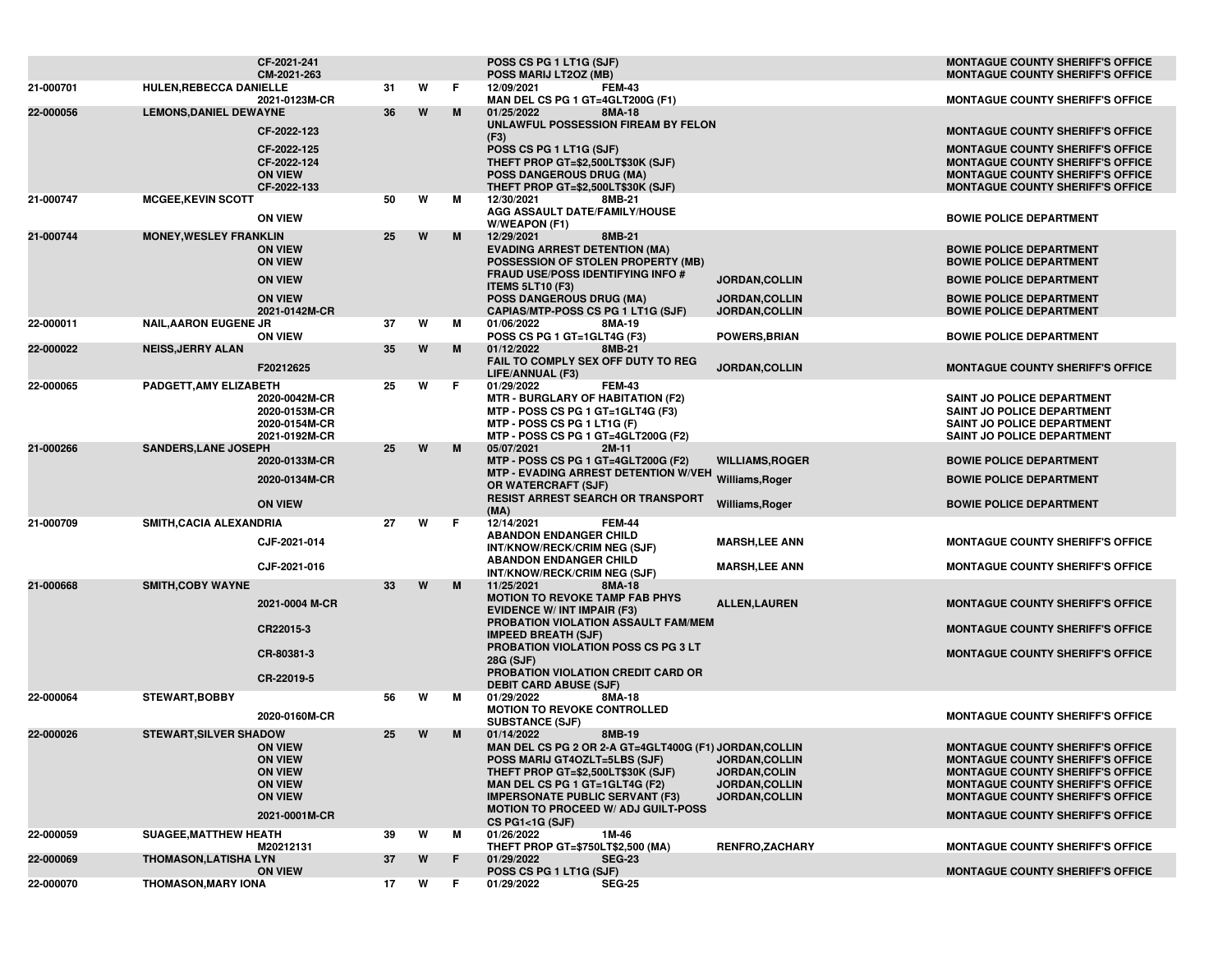|           |                               | CF-2021-241<br>CM-2021-263       |    |   |     | POSS CS PG 1 LT1G (SJF)<br>POSS MARIJ LT2OZ (MB)                                   |                                         | <b>MONTAGUE COUNTY SHERIFF'S OFFICE</b><br><b>MONTAGUE COUNTY SHERIFF'S OFFICE</b> |
|-----------|-------------------------------|----------------------------------|----|---|-----|------------------------------------------------------------------------------------|-----------------------------------------|------------------------------------------------------------------------------------|
| 21-000701 | HULEN, REBECCA DANIELLE       |                                  | 31 | W | F.  | 12/09/2021<br><b>FEM-43</b>                                                        |                                         |                                                                                    |
|           |                               | 2021-0123M-CR                    |    |   |     | MAN DEL CS PG 1 GT=4GLT200G (F1)                                                   |                                         | <b>MONTAGUE COUNTY SHERIFF'S OFFICE</b>                                            |
| 22-000056 | <b>LEMONS, DANIEL DEWAYNE</b> |                                  | 36 | W | M   | 8MA-18<br>01/25/2022<br>UNLAWFUL POSSESSION FIREAM BY FELON                        |                                         |                                                                                    |
|           |                               | CF-2022-123                      |    |   |     | (F3)                                                                               |                                         | <b>MONTAGUE COUNTY SHERIFF'S OFFICE</b>                                            |
|           |                               | CF-2022-125                      |    |   |     | POSS CS PG 1 LT1G (SJF)                                                            |                                         | <b>MONTAGUE COUNTY SHERIFF'S OFFICE</b>                                            |
|           |                               | CF-2022-124<br><b>ON VIEW</b>    |    |   |     | THEFT PROP GT=\$2,500LT\$30K (SJF)<br><b>POSS DANGEROUS DRUG (MA)</b>              |                                         | <b>MONTAGUE COUNTY SHERIFF'S OFFICE</b><br><b>MONTAGUE COUNTY SHERIFF'S OFFICE</b> |
|           |                               | CF-2022-133                      |    |   |     | THEFT PROP GT=\$2,500LT\$30K (SJF)                                                 |                                         | MONTAGUE COUNTY SHERIFF'S OFFICE                                                   |
| 21-000747 | <b>MCGEE, KEVIN SCOTT</b>     |                                  | 50 | W | М   | 12/30/2021<br>8MB-21                                                               |                                         |                                                                                    |
|           |                               | <b>ON VIEW</b>                   |    |   |     | AGG ASSAULT DATE/FAMILY/HOUSE<br>W/WEAPON (F1)                                     |                                         | <b>BOWIE POLICE DEPARTMENT</b>                                                     |
| 21-000744 | <b>MONEY, WESLEY FRANKLIN</b> |                                  | 25 | W | M   | 12/29/2021<br>8MB-21                                                               |                                         |                                                                                    |
|           |                               | <b>ON VIEW</b>                   |    |   |     | <b>EVADING ARREST DETENTION (MA)</b>                                               |                                         | <b>BOWIE POLICE DEPARTMENT</b>                                                     |
|           |                               | <b>ON VIEW</b>                   |    |   |     | POSSESSION OF STOLEN PROPERTY (MB)<br><b>FRAUD USE/POSS IDENTIFYING INFO #</b>     |                                         | <b>BOWIE POLICE DEPARTMENT</b>                                                     |
|           |                               | <b>ON VIEW</b>                   |    |   |     | <b>ITEMS 5LT10 (F3)</b>                                                            | <b>JORDAN,COLLIN</b>                    | <b>BOWIE POLICE DEPARTMENT</b>                                                     |
|           |                               | <b>ON VIEW</b>                   |    |   |     | <b>POSS DANGEROUS DRUG (MA)</b>                                                    | <b>JORDAN,COLLIN</b>                    | <b>BOWIE POLICE DEPARTMENT</b>                                                     |
|           |                               | 2021-0142M-CR                    |    |   |     | CAPIAS/MTP-POSS CS PG 1 LT1G (SJF)                                                 | <b>JORDAN,COLLIN</b>                    | <b>BOWIE POLICE DEPARTMENT</b>                                                     |
| 22-000011 | <b>NAIL, AARON EUGENE JR</b>  | <b>ON VIEW</b>                   | 37 | W | м   | 01/06/2022<br>8MA-19<br>POSS CS PG 1 GT=1GLT4G (F3)                                | <b>POWERS, BRIAN</b>                    | <b>BOWIE POLICE DEPARTMENT</b>                                                     |
| 22-000022 | <b>NEISS, JERRY ALAN</b>      |                                  | 35 | W | M   | 01/12/2022<br>8MB-21                                                               |                                         |                                                                                    |
|           |                               | F20212625                        |    |   |     | FAIL TO COMPLY SEX OFF DUTY TO REG                                                 | <b>JORDAN,COLLIN</b>                    | <b>MONTAGUE COUNTY SHERIFF'S OFFICE</b>                                            |
| 22-000065 | PADGETT, AMY ELIZABETH        |                                  | 25 | w | F.  | LIFE/ANNUAL (F3)<br>01/29/2022<br><b>FEM-43</b>                                    |                                         |                                                                                    |
|           |                               | 2020-0042M-CR                    |    |   |     | <b>MTR - BURGLARY OF HABITATION (F2)</b>                                           |                                         | SAINT JO POLICE DEPARTMENT                                                         |
|           |                               | 2020-0153M-CR                    |    |   |     | MTP - POSS CS PG 1 GT=1GLT4G (F3)                                                  |                                         | SAINT JO POLICE DEPARTMENT                                                         |
|           |                               | 2020-0154M-CR<br>2021-0192M-CR   |    |   |     | MTP - POSS CS PG 1 LT1G (F)<br>MTP - POSS CS PG 1 GT=4GLT200G (F2)                 |                                         | SAINT JO POLICE DEPARTMENT<br>SAINT JO POLICE DEPARTMENT                           |
| 21-000266 | <b>SANDERS, LANE JOSEPH</b>   |                                  | 25 | W | M   | 05/07/2021<br>$2M-11$                                                              |                                         |                                                                                    |
|           |                               | 2020-0133M-CR                    |    |   |     | MTP - POSS CS PG 1 GT=4GLT200G (F2)                                                | <b>WILLIAMS, ROGER</b>                  | <b>BOWIE POLICE DEPARTMENT</b>                                                     |
|           |                               | 2020-0134M-CR                    |    |   |     | MTP - EVADING ARREST DETENTION W/VEH Williams, Roger<br><b>OR WATERCRAFT (SJF)</b> |                                         | <b>BOWIE POLICE DEPARTMENT</b>                                                     |
|           |                               | <b>ON VIEW</b>                   |    |   |     | <b>RESIST ARREST SEARCH OR TRANSPORT</b>                                           |                                         | <b>BOWIE POLICE DEPARTMENT</b>                                                     |
|           |                               |                                  |    |   |     | (MA)                                                                               | Williams, Roger                         |                                                                                    |
| 21-000709 | SMITH, CACIA ALEXANDRIA       |                                  | 27 | W | F.  | 12/14/2021<br><b>FEM-44</b><br><b>ABANDON ENDANGER CHILD</b>                       |                                         |                                                                                    |
|           |                               | CJF-2021-014                     |    |   |     | INT/KNOW/RECK/CRIM NEG (SJF)                                                       | <b>MARSH, LEE ANN</b>                   | <b>MONTAGUE COUNTY SHERIFF'S OFFICE</b>                                            |
|           |                               | CJF-2021-016                     |    |   |     | <b>ABANDON ENDANGER CHILD</b>                                                      | <b>MARSH,LEE ANN</b>                    | <b>MONTAGUE COUNTY SHERIFF'S OFFICE</b>                                            |
| 21-000668 | <b>SMITH, COBY WAYNE</b>      |                                  | 33 | W | M   | INT/KNOW/RECK/CRIM NEG (SJF)<br>11/25/2021<br>8MA-18                               |                                         |                                                                                    |
|           |                               |                                  |    |   |     | <b>MOTION TO REVOKE TAMP FAB PHYS</b>                                              |                                         |                                                                                    |
|           |                               | 2021-0004 M-CR                   |    |   |     | <b>EVIDENCE W/ INT IMPAIR (F3)</b>                                                 | <b>ALLEN, LAUREN</b>                    | <b>MONTAGUE COUNTY SHERIFF'S OFFICE</b>                                            |
|           |                               | CR22015-3                        |    |   |     | PROBATION VIOLATION ASSAULT FAM/MEM<br><b>IMPEED BREATH (SJF)</b>                  |                                         | <b>MONTAGUE COUNTY SHERIFF'S OFFICE</b>                                            |
|           |                               |                                  |    |   |     | <b>PROBATION VIOLATION POSS CS PG 3 LT</b>                                         |                                         |                                                                                    |
|           |                               | CR-80381-3                       |    |   |     | <b>28G (SJF)</b>                                                                   |                                         | <b>MONTAGUE COUNTY SHERIFF'S OFFICE</b>                                            |
|           |                               | CR-22019-5                       |    |   |     | PROBATION VIOLATION CREDIT CARD OR<br><b>DEBIT CARD ABUSE (SJF)</b>                |                                         |                                                                                    |
| 22-000064 | <b>STEWART, BOBBY</b>         |                                  | 56 | W | м   | 8MA-18<br>01/29/2022                                                               |                                         |                                                                                    |
|           |                               | 2020-0160M-CR                    |    |   |     | <b>MOTION TO REVOKE CONTROLLED</b>                                                 |                                         | <b>MONTAGUE COUNTY SHERIFF'S OFFICE</b>                                            |
| 22-000026 | <b>STEWART, SILVER SHADOW</b> |                                  | 25 | W | M   | <b>SUBSTANCE (SJF)</b><br>01/14/2022<br>8MB-19                                     |                                         |                                                                                    |
|           |                               | <b>ON VIEW</b>                   |    |   |     | MAN DEL CS PG 2 OR 2-A GT=4GLT400G (F1) JORDAN, COLLIN                             |                                         | <b>MONTAGUE COUNTY SHERIFF'S OFFICE</b>                                            |
|           |                               | <b>ON VIEW</b>                   |    |   |     | POSS MARIJ GT4OZLT=5LBS (SJF)                                                      | <b>JORDAN,COLLIN</b>                    | <b>MONTAGUE COUNTY SHERIFF'S OFFICE</b>                                            |
|           |                               | <b>ON VIEW</b><br><b>ON VIEW</b> |    |   |     | THEFT PROP GT=\$2,500LT\$30K (SJF)                                                 | JORDAN, COLIN                           | <b>MONTAGUE COUNTY SHERIFF'S OFFICE</b>                                            |
|           |                               | <b>ON VIEW</b>                   |    |   |     | MAN DEL CS PG 1 GT=1GLT4G (F2)<br><b>IMPERSONATE PUBLIC SERVANT (F3)</b>           | JORDAN, COLLIN<br><b>JORDAN, COLLIN</b> | <b>MONTAGUE COUNTY SHERIFF'S OFFICE</b><br><b>MONTAGUE COUNTY SHERIFF'S OFFICE</b> |
|           |                               | 2021-0001M-CR                    |    |   |     | MOTION TO PROCEED W/ ADJ GUILT-POSS                                                |                                         | <b>MONTAGUE COUNTY SHERIFF'S OFFICE</b>                                            |
|           |                               |                                  |    |   |     | <b>CS PG1&lt;1G (SJF)</b>                                                          |                                         |                                                                                    |
| 22-000059 | <b>SUAGEE, MATTHEW HEATH</b>  | M20212131                        | 39 | w | М   | 01/26/2022<br>1M-46<br>THEFT PROP GT=\$750LT\$2,500 (MA)                           | <b>RENFRO,ZACHARY</b>                   | <b>MONTAGUE COUNTY SHERIFF'S OFFICE</b>                                            |
| 22-000069 | <b>THOMASON,LATISHA LYN</b>   |                                  | 37 | W | F   | 01/29/2022<br><b>SEG-23</b>                                                        |                                         |                                                                                    |
|           |                               | <b>ON VIEW</b>                   |    |   |     | POSS CS PG 1 LT1G (SJF)                                                            |                                         | <b>MONTAGUE COUNTY SHERIFF'S OFFICE</b>                                            |
| 22-000070 | <b>THOMASON, MARY IONA</b>    |                                  | 17 | W | - F | <b>SEG-25</b><br>01/29/2022                                                        |                                         |                                                                                    |